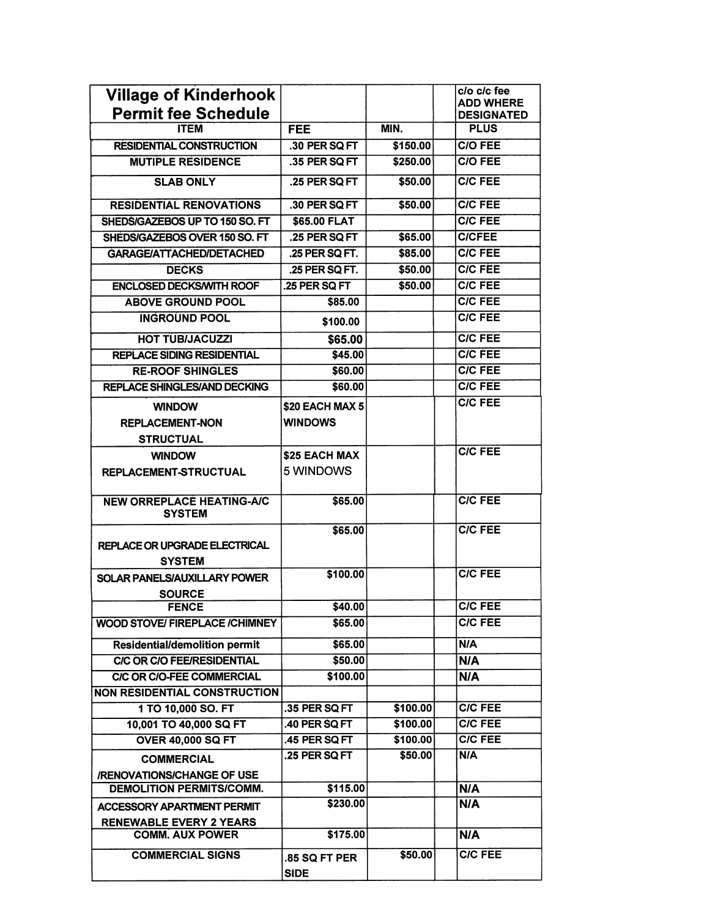| <b>Village of Kinderhook</b><br><b>Permit fee Schedule</b> |                 |          | c/o c/c fee<br><b>ADD WHERE</b>  |
|------------------------------------------------------------|-----------------|----------|----------------------------------|
| <b>ITEM</b>                                                | <b>FEE</b>      | MIN.     | <b>DESIGNATED</b><br><b>PLUS</b> |
| RESIDENTIAL CONSTRUCTION                                   | .30 PER SQ FT   | \$150.00 | <b>C/O FEE</b>                   |
| <b>MUTIPLE RESIDENCE</b>                                   | .35 PER SO FT   |          | <b>C/O FEE</b>                   |
|                                                            |                 | \$250.00 |                                  |
| <b>SLAB ONLY</b>                                           | .25 PER SQ FT   | \$50.00  | <b>CIC FEE</b>                   |
| <b>RESIDENTIAL RENOVATIONS</b>                             | .30 PER SQ FT   | \$50.00  | <b>C/C FEE</b>                   |
| SHEDS/GAZEBOS UP TO 150 SO. FT                             | \$65.00 FLAT    |          | <b>C/C FEE</b>                   |
| SHEDS/GAZEBOS OVER 150 SO. FT                              | .25 PER SQ FT   | \$65.00  | <b>C/CFEE</b>                    |
| <b>GARAGE/ATTACHED/DETACHED</b>                            | .25 PER SQ FT.  | \$85.00  | <b>C/C FEE</b>                   |
| <b>DECKS</b>                                               | .25 PER SQ FT.  | \$50.00  | <b>C/C FEE</b>                   |
| <b>ENCLOSED DECKS/WITH ROOF</b>                            | .25 PER SQ FT   | \$50.00  | <b>C/C FEE</b>                   |
| <b>ABOVE GROUND POOL</b>                                   | \$85.00         |          | <b>C/C FEE</b>                   |
| <b>INGROUND POOL</b>                                       | \$100.00        |          | <b>C/C FEE</b>                   |
| <b>HOT TUB/JACUZZI</b>                                     | \$65.00         |          | <b>C/C FEE</b>                   |
| <b>REPLACE SIDING RESIDENTIAL</b>                          | \$45.00         |          | <b>C/C FEE</b>                   |
| <b>RE-ROOF SHINGLES</b>                                    | \$60.00         |          | <b>C/C FEE</b>                   |
| <b>REPLACE SHINGLES/AND DECKING</b>                        | \$60.00         |          | <b>C/C FEE</b>                   |
| <b>WINDOW</b>                                              | \$20 EACH MAX 5 |          | <b>C/C FEE</b>                   |
| <b>REPLACEMENT-NON</b>                                     | <b>WINDOWS</b>  |          |                                  |
| <b>STRUCTUAL</b>                                           |                 |          |                                  |
| <b>WINDOW</b>                                              | \$25 EACH MAX   |          | <b>C/C FEE</b>                   |
| REPLACEMENT-STRUCTUAL                                      | 5 WINDOWS       |          |                                  |
|                                                            |                 |          |                                  |
| <b>NEW ORREPLACE HEATING-A/C</b><br><b>SYSTEM</b>          | \$65.00         |          | <b>C/C FEE</b>                   |
| REPLACE OR UPGRADE ELECTRICAL<br><b>SYSTEM</b>             | \$65.00         |          | <b>C/C FEE</b>                   |
| SOLAR PANELS/AUXILLARY POWER                               | \$100.00        |          | <b>C/C FEE</b>                   |
| <b>SOURCE</b>                                              |                 |          |                                  |
| <b>FENCE</b>                                               | \$40.00         |          | <b>C/C FEE</b>                   |
| <b>WOOD STOVE/ FIREPLACE /CHIMNEY</b>                      | \$65.00         |          | <b>C/C FEE</b>                   |
| <b>Residential/demolition permit</b>                       | \$65.00         |          | <b>N/A</b>                       |
| <b>C/C OR C/O FEE/RESIDENTIAL</b>                          | \$50.00         |          | <b>N/A</b>                       |
| C/C OR C/O-FEE COMMERCIAL                                  | \$100.00        |          | N/A                              |
| <b>NON RESIDENTIAL CONSTRUCTION</b>                        |                 |          |                                  |
| 1 TO 10,000 SO. FT                                         | .35 PER SQ FT   | \$100.00 | <b>C/C FEE</b>                   |
| 10,001 TO 40,000 SQ FT                                     | .40 PER SQ FT   | \$100.00 | <b>C/C FEE</b>                   |
| <b>OVER 40,000 SQ FT</b>                                   | .45 PER SQ FT   | \$100.00 | <b>C/C FEE</b>                   |
| <b>COMMERCIAL</b>                                          | .25 PER SQ FT   | \$50.00  | N/A                              |
| /RENOVATIONS/CHANGE OF USE                                 |                 |          |                                  |
| DEMOLITION PERMITS/COMM.                                   | \$115.00        |          | <b>N/A</b>                       |
| <b>ACCESSORY APARTMENT PERMIT</b>                          | \$230.00        |          | N/A                              |
| <b>RENEWABLE EVERY 2 YEARS</b>                             |                 |          |                                  |
| <b>COMM. AUX POWER</b>                                     | \$175.00        |          | N/A                              |
| <b>COMMERCIAL SIGNS</b>                                    | .85 SQ FT PER   | \$50.00  | <b>C/C FEE</b>                   |
|                                                            | <b>SIDE</b>     |          |                                  |